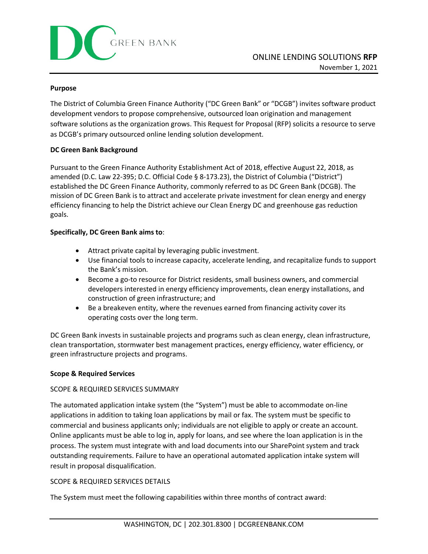

### **Purpose**

The District of Columbia Green Finance Authority ("DC Green Bank" or "DCGB") invites software product development vendors to propose comprehensive, outsourced loan origination and management software solutions as the organization grows. This Request for Proposal (RFP) solicits a resource to serve as DCGB's primary outsourced online lending solution development.

## **DC Green Bank Background**

Pursuant to the Green Finance Authority Establishment Act of 2018, effective August 22, 2018, as amended (D.C. Law 22-395; D.C. Official Code § 8-173.23), the District of Columbia ("District") established the DC Green Finance Authority, commonly referred to as DC Green Bank (DCGB). The mission of DC Green Bank is to attract and accelerate private investment for clean energy and energy efficiency financing to help the District achieve our Clean Energy DC and greenhouse gas reduction goals. 

## **Specifically, DC Green Bank aims to**:

- Attract private capital by leveraging public investment.
- Use financial tools to increase capacity, accelerate lending, and recapitalize funds to support the Bank's mission.
- Become a go-to resource for District residents, small business owners, and commercial developers interested in energy efficiency improvements, clean energy installations, and construction of green infrastructure; and
- Be a breakeven entity, where the revenues earned from financing activity cover its operating costs over the long term.

DC Green Bank invests in sustainable projects and programs such as clean energy, clean infrastructure, clean transportation, stormwater best management practices, energy efficiency, water efficiency, or green infrastructure projects and programs. 

## **Scope & Required Services**

## SCOPE & REQUIRED SERVICES SUMMARY

The automated application intake system (the "System") must be able to accommodate on-line applications in addition to taking loan applications by mail or fax. The system must be specific to commercial and business applicants only; individuals are not eligible to apply or create an account. Online applicants must be able to log in, apply for loans, and see where the loan application is in the process. The system must integrate with and load documents into our SharePoint system and track outstanding requirements. Failure to have an operational automated application intake system will result in proposal disqualification.

#### SCOPE & REQUIRED SERVICES DETAILS

The System must meet the following capabilities within three months of contract award: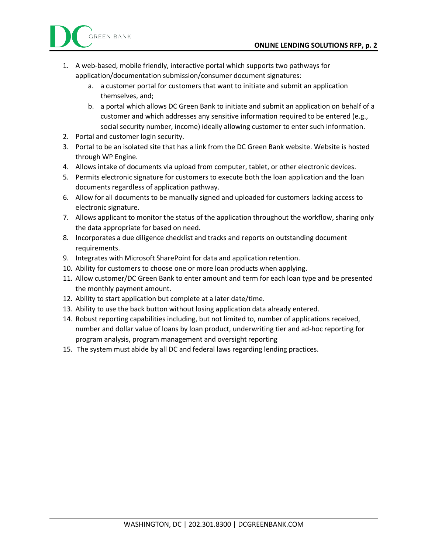

- 1. A web-based, mobile friendly, interactive portal which supports two pathways for application/documentation submission/consumer document signatures:
	- a. a customer portal for customers that want to initiate and submit an application themselves, and;
	- b. a portal which allows DC Green Bank to initiate and submit an application on behalf of a customer and which addresses any sensitive information required to be entered (e.g., social security number, income) ideally allowing customer to enter such information.
- 2. Portal and customer login security.
- 3. Portal to be an isolated site that has a link from the DC Green Bank website. Website is hosted through WP Engine.
- 4. Allows intake of documents via upload from computer, tablet, or other electronic devices.
- 5. Permits electronic signature for customers to execute both the loan application and the loan documents regardless of application pathway.
- 6. Allow for all documents to be manually signed and uploaded for customers lacking access to electronic signature.
- 7. Allows applicant to monitor the status of the application throughout the workflow, sharing only the data appropriate for based on need.
- 8. Incorporates a due diligence checklist and tracks and reports on outstanding document requirements.
- 9. Integrates with Microsoft SharePoint for data and application retention.
- 10. Ability for customers to choose one or more loan products when applying.
- 11. Allow customer/DC Green Bank to enter amount and term for each loan type and be presented the monthly payment amount.
- 12. Ability to start application but complete at a later date/time.
- 13. Ability to use the back button without losing application data already entered.
- 14. Robust reporting capabilities including, but not limited to, number of applications received, number and dollar value of loans by loan product, underwriting tier and ad-hoc reporting for program analysis, program management and oversight reporting
- 15. The system must abide by all DC and federal laws regarding lending practices.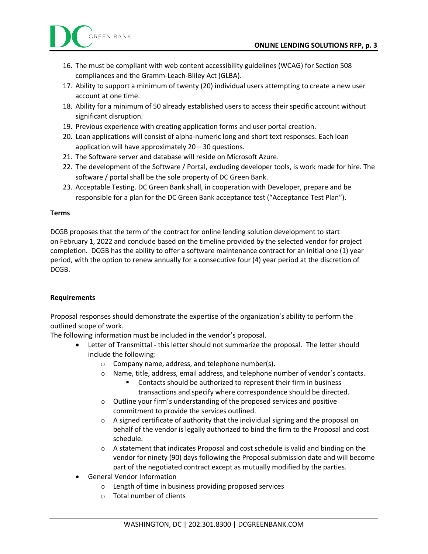

- 16. The must be compliant with web content accessibility guidelines (WCAG) for Section 508 compliances and the Gramm-Leach-Bliley Act (GLBA).
- 17. Ability to support a minimum of twenty (20) individual users attempting to create a new user account at one time.
- 18. Ability for a minimum of 50 already established users to access their specific account without significant disruption.
- 19. Previous experience with creating application forms and user portal creation.
- 20. Loan applications will consist of alpha-numeric long and short text responses. Each loan application will have approximately 20 – 30 questions.
- 21. The Software server and database will reside on Microsoft Azure.
- 22. The development of the Software / Portal, excluding developer tools, is work made for hire. The software / portal shall be the sole property of DC Green Bank.
- 23. Acceptable Testing. DC Green Bank shall, in cooperation with Developer, prepare and be responsible for a plan for the DC Green Bank acceptance test ("Acceptance Test Plan").

### **Terms**

DCGB proposes that the term of the contract for online lending solution development to start on February 1, 2022 and conclude based on the timeline provided by the selected vendor for project completion. DCGB has the ability to offer a software maintenance contract for an initial one (1) year period, with the option to renew annually for a consecutive four (4) year period at the discretion of DCGB.

## **Requirements**

Proposal responses should demonstrate the expertise of the organization's ability to perform the outlined scope of work.

The following information must be included in the vendor's proposal.

- Letter of Transmittal this letter should not summarize the proposal. The letter should include the following:
	- o Company name, address, and telephone number(s).
	- o Name, title, address, email address, and telephone number of vendor's contacts.
		- Contacts should be authorized to represent their firm in business transactions and specify where correspondence should be directed.
	- o Outline your firm's understanding of the proposed services and positive commitment to provide the services outlined.
	- $\circ$  A signed certificate of authority that the individual signing and the proposal on behalf of the vendor is legally authorized to bind the firm to the Proposal and cost schedule.
	- o A statement that indicates Proposal and cost schedule is valid and binding on the vendor for ninety (90) days following the Proposal submission date and will become part of the negotiated contract except as mutually modified by the parties.
- General Vendor Information
	- o Length of time in business providing proposed services
	- o Total number of clients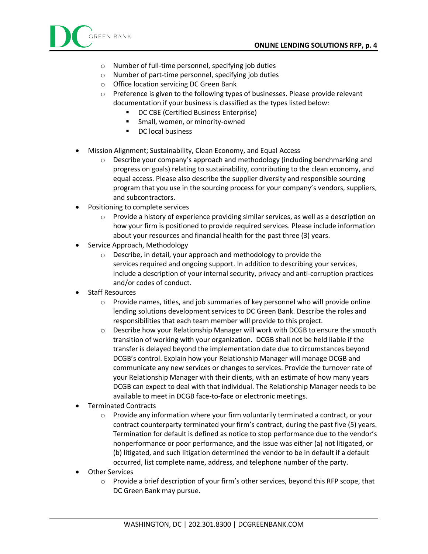

- o Number of full-time personnel, specifying job duties
- o Number of part-time personnel, specifying job duties
- o Office location servicing DC Green Bank
- $\circ$  Preference is given to the following types of businesses. Please provide relevant documentation if your business is classified as the types listed below:
	- **DC CBE (Certified Business Enterprise)**
	- **Small, women, or minority-owned**
	- DC local business
- Mission Alignment; Sustainability, Clean Economy, and Equal Access
	- o Describe your company's approach and methodology (including benchmarking and progress on goals) relating to sustainability, contributing to the clean economy, and equal access. Please also describe the supplier diversity and responsible sourcing program that you use in the sourcing process for your company's vendors, suppliers, and subcontractors.
- Positioning to complete services
	- o Provide a history of experience providing similar services, as well as a description on how your firm is positioned to provide required services. Please include information about your resources and financial health for the past three (3) years.
- Service Approach, Methodology
	- o Describe, in detail, your approach and methodology to provide the services required and ongoing support. In addition to describing your services, include a description of your internal security, privacy and anti-corruption practices and/or codes of conduct.
- **Staff Resources** 
	- o Provide names, titles, and job summaries of key personnel who will provide online lending solutions development services to DC Green Bank. Describe the roles and responsibilities that each team member will provide to this project.
	- o Describe how your Relationship Manager will work with DCGB to ensure the smooth transition of working with your organization. DCGB shall not be held liable if the transfer is delayed beyond the implementation date due to circumstances beyond DCGB's control. Explain how your Relationship Manager will manage DCGB and communicate any new services or changes to services. Provide the turnover rate of your Relationship Manager with their clients, with an estimate of how many years DCGB can expect to deal with that individual. The Relationship Manager needs to be available to meet in DCGB face-to-face or electronic meetings.
- Terminated Contracts
	- o Provide any information where your firm voluntarily terminated a contract, or your contract counterparty terminated your firm's contract, during the past five (5) years. Termination for default is defined as notice to stop performance due to the vendor's nonperformance or poor performance, and the issue was either (a) not litigated, or (b) litigated, and such litigation determined the vendor to be in default if a default occurred, list complete name, address, and telephone number of the party.
- **Other Services** 
	- $\circ$  Provide a brief description of your firm's other services, beyond this RFP scope, that DC Green Bank may pursue.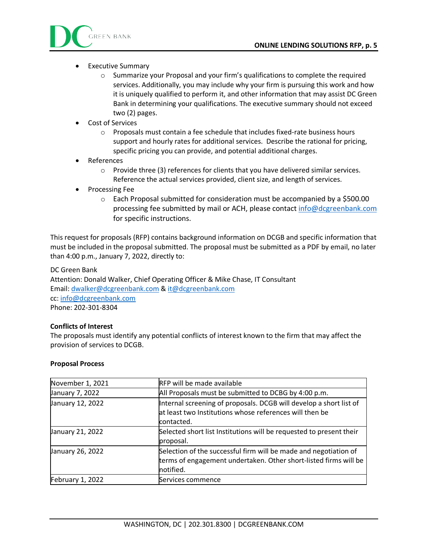

- Executive Summary
	- $\circ$  Summarize your Proposal and your firm's qualifications to complete the required services. Additionally, you may include why your firm is pursuing this work and how it is uniquely qualified to perform it, and other information that may assist DC Green Bank in determining your qualifications. The executive summary should not exceed two (2) pages.
- Cost of Services
	- o Proposals must contain a fee schedule that includes fixed-rate business hours support and hourly rates for additional services. Describe the rational for pricing, specific pricing you can provide, and potential additional charges.
- **References** 
	- o Provide three (3) references for clients that you have delivered similar services. Reference the actual services provided, client size, and length of services.
- Processing Fee
	- o Each Proposal submitted for consideration must be accompanied by a \$500.00 processing fee submitted by mail or ACH, please contact [info@dcgreenbank.com](mailto:info@dcgreenbank.com) for specific instructions.

This request for proposals (RFP) contains background information on DCGB and specific information that must be included in the proposal submitted. The proposal must be submitted as a PDF by email, no later than 4:00 p.m., January 7, 2022, directly to:  

DC Green Bank Attention: Donald Walker, Chief Operating Officer & Mike Chase, IT Consultant Email: [dwalker@dcgreenbank.com](mailto:dwalker@dcgreenbank.com) & [it@dcgreenbank.com](mailto:it@dcgreenbank.com)  cc: [info@dcgreenbank.com](mailto:info@dcgreenbank.com) Phone: 202-301-8304

## **Conflicts of Interest**

The proposals must identify any potential conflicts of interest known to the firm that may affect the provision of services to DCGB. 

## **Proposal Process**

| November 1, 2021 | <b>RFP will be made available</b>                                                                                                                 |  |  |
|------------------|---------------------------------------------------------------------------------------------------------------------------------------------------|--|--|
| January 7, 2022  | All Proposals must be submitted to DCBG by 4:00 p.m.                                                                                              |  |  |
| January 12, 2022 | Internal screening of proposals. DCGB will develop a short list of<br>at least two Institutions whose references will then be<br>contacted.       |  |  |
| January 21, 2022 | Selected short list Institutions will be requested to present their<br>proposal.                                                                  |  |  |
| January 26, 2022 | Selection of the successful firm will be made and negotiation of<br>terms of engagement undertaken. Other short-listed firms will be<br>notified. |  |  |
| February 1, 2022 | Services commence                                                                                                                                 |  |  |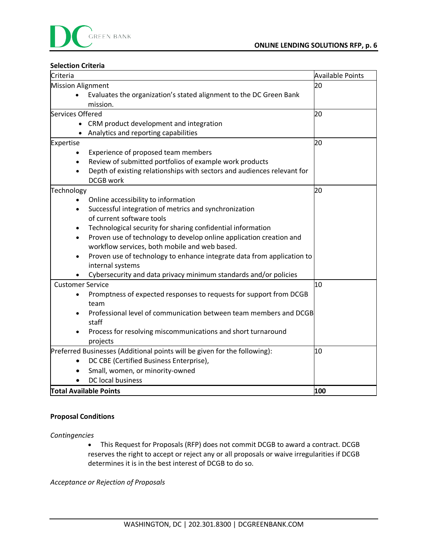# **Selection Criteria**

| Criteria                                                                                                | <b>Available Points</b> |
|---------------------------------------------------------------------------------------------------------|-------------------------|
| <b>Mission Alignment</b>                                                                                | 20                      |
| Evaluates the organization's stated alignment to the DC Green Bank                                      |                         |
| mission.                                                                                                |                         |
| Services Offered                                                                                        | 20                      |
| CRM product development and integration                                                                 |                         |
| Analytics and reporting capabilities                                                                    |                         |
| Expertise                                                                                               | 20                      |
| Experience of proposed team members                                                                     |                         |
| Review of submitted portfolios of example work products                                                 |                         |
| Depth of existing relationships with sectors and audiences relevant for                                 |                         |
| DCGB work                                                                                               |                         |
| Technology                                                                                              | 20                      |
| Online accessibility to information<br>$\bullet$                                                        |                         |
| Successful integration of metrics and synchronization<br>$\bullet$                                      |                         |
| of current software tools                                                                               |                         |
| Technological security for sharing confidential information<br>$\bullet$                                |                         |
| Proven use of technology to develop online application creation and<br>$\bullet$                        |                         |
| workflow services, both mobile and web based.                                                           |                         |
| Proven use of technology to enhance integrate data from application to<br>$\bullet$<br>internal systems |                         |
| Cybersecurity and data privacy minimum standards and/or policies                                        |                         |
| <b>Customer Service</b>                                                                                 | 10                      |
| Promptness of expected responses to requests for support from DCGB<br>$\bullet$<br>team                 |                         |
| Professional level of communication between team members and DCGB                                       |                         |
| staff                                                                                                   |                         |
| Process for resolving miscommunications and short turnaround                                            |                         |
| projects                                                                                                |                         |
| Preferred Businesses (Additional points will be given for the following):                               | 10                      |
| DC CBE (Certified Business Enterprise),                                                                 |                         |
| Small, women, or minority-owned                                                                         |                         |
| DC local business                                                                                       |                         |
| <b>Total Available Points</b>                                                                           | 100                     |

# **Proposal Conditions**

*Contingencies*

• This Request for Proposals (RFP) does not commit DCGB to award a contract. DCGB reserves the right to accept or reject any or all proposals or waive irregularities if DCGB determines it is in the best interest of DCGB to do so.

*Acceptance or Rejection of Proposals*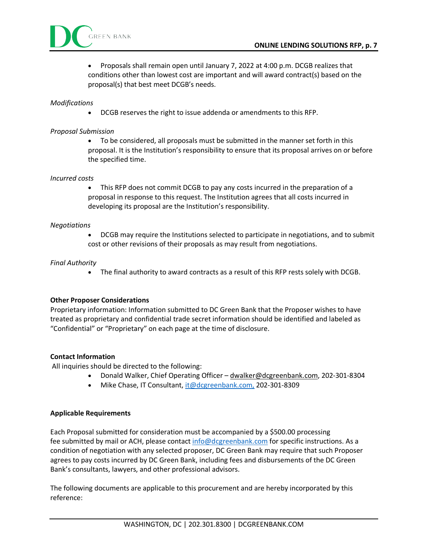



• Proposals shall remain open until January 7, 2022 at 4:00 p.m. DCGB realizes that conditions other than lowest cost are important and will award contract(s) based on the proposal(s) that best meet DCGB's needs.

# *Modifications*

• DCGB reserves the right to issue addenda or amendments to this RFP.

## *Proposal Submission*

• To be considered, all proposals must be submitted in the manner set forth in this proposal. It is the Institution's responsibility to ensure that its proposal arrives on or before the specified time.

## *Incurred costs*

• This RFP does not commit DCGB to pay any costs incurred in the preparation of a proposal in response to this request. The Institution agrees that all costs incurred in developing its proposal are the Institution's responsibility.

## *Negotiations*

• DCGB may require the Institutions selected to participate in negotiations, and to submit cost or other revisions of their proposals as may result from negotiations.

### *Final Authority*

• The final authority to award contracts as a result of this RFP rests solely with DCGB.

## **Other Proposer Considerations**

Proprietary information: Information submitted to DC Green Bank that the Proposer wishes to have treated as proprietary and confidential trade secret information should be identified and labeled as "Confidential" or "Proprietary" on each page at the time of disclosure. 

## **Contact Information**

All inquiries should be directed to the following:

- Donald Walker, Chief Operating Officer – [dwalker@dcgreenbank.com,](mailto:dwalker@dcgreenbank.org) 202-301-8304
- Mike Chase, IT Consultant, [it@dcgreenbank.com,](mailto:it@dcgreenbank.com) 202-301-8309

## **Applicable Requirements**

Each Proposal submitted for consideration must be accompanied by a \$500.00 processing fee submitted by mail or ACH, please contact [info@dcgreenbank.com](mailto:info@dcgreenbank.com) for specific instructions. As a condition of negotiation with any selected proposer, DC Green Bank may require that such Proposer agrees to pay costs incurred by DC Green Bank, including fees and disbursements of the DC Green Bank's consultants, lawyers, and other professional advisors. 

The following documents are applicable to this procurement and are hereby incorporated by this reference: